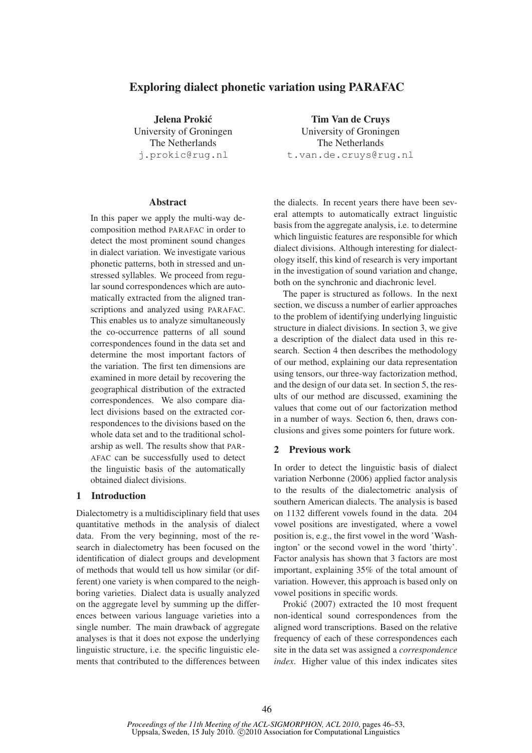# Exploring dialect phonetic variation using PARAFAC

Jelena Prokic´ University of Groningen The Netherlands j.prokic@rug.nl

### Abstract

In this paper we apply the multi-way decomposition method PARAFAC in order to detect the most prominent sound changes in dialect variation. We investigate various phonetic patterns, both in stressed and unstressed syllables. We proceed from regular sound correspondences which are automatically extracted from the aligned transcriptions and analyzed using PARAFAC. This enables us to analyze simultaneously the co-occurrence patterns of all sound correspondences found in the data set and determine the most important factors of the variation. The first ten dimensions are examined in more detail by recovering the geographical distribution of the extracted correspondences. We also compare dialect divisions based on the extracted correspondences to the divisions based on the whole data set and to the traditional scholarship as well. The results show that PAR-AFAC can be successfully used to detect the linguistic basis of the automatically obtained dialect divisions.

# 1 Introduction

Dialectometry is a multidisciplinary field that uses quantitative methods in the analysis of dialect data. From the very beginning, most of the research in dialectometry has been focused on the identification of dialect groups and development of methods that would tell us how similar (or different) one variety is when compared to the neighboring varieties. Dialect data is usually analyzed on the aggregate level by summing up the differences between various language varieties into a single number. The main drawback of aggregate analyses is that it does not expose the underlying linguistic structure, i.e. the specific linguistic elements that contributed to the differences between

Tim Van de Cruys University of Groningen The Netherlands t.van.de.cruys@rug.nl

the dialects. In recent years there have been several attempts to automatically extract linguistic basis from the aggregate analysis, i.e. to determine which linguistic features are responsible for which dialect divisions. Although interesting for dialectology itself, this kind of research is very important in the investigation of sound variation and change, both on the synchronic and diachronic level.

The paper is structured as follows. In the next section, we discuss a number of earlier approaches to the problem of identifying underlying linguistic structure in dialect divisions. In section 3, we give a description of the dialect data used in this research. Section 4 then describes the methodology of our method, explaining our data representation using tensors, our three-way factorization method, and the design of our data set. In section 5, the results of our method are discussed, examining the values that come out of our factorization method in a number of ways. Section 6, then, draws conclusions and gives some pointers for future work.

# 2 Previous work

In order to detect the linguistic basis of dialect variation Nerbonne (2006) applied factor analysis to the results of the dialectometric analysis of southern American dialects. The analysis is based on 1132 different vowels found in the data. 204 vowel positions are investigated, where a vowel position is, e.g., the first vowel in the word 'Washington' or the second vowel in the word 'thirty'. Factor analysis has shown that 3 factors are most important, explaining 35% of the total amount of variation. However, this approach is based only on vowel positions in specific words.

Prokić (2007) extracted the 10 most frequent non-identical sound correspondences from the aligned word transcriptions. Based on the relative frequency of each of these correspondences each site in the data set was assigned a *correspondence index*. Higher value of this index indicates sites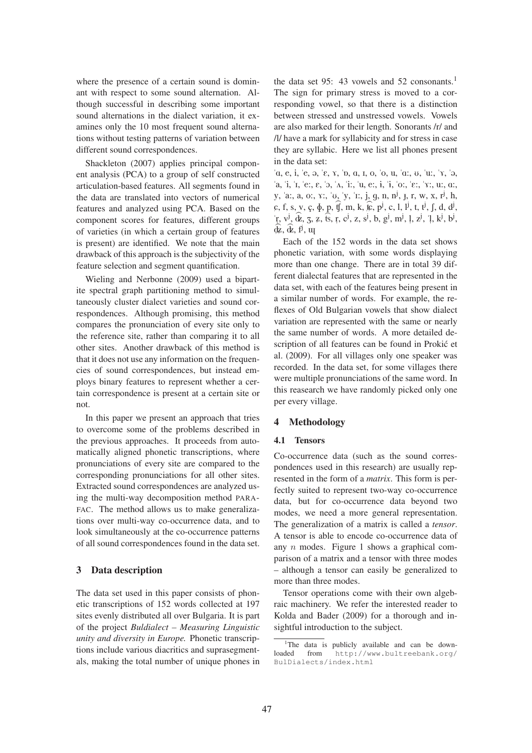where the presence of a certain sound is dominant with respect to some sound alternation. Although successful in describing some important sound alternations in the dialect variation, it examines only the 10 most frequent sound alternations without testing patterns of variation between different sound correspondences.

Shackleton (2007) applies principal component analysis (PCA) to a group of self constructed articulation-based features. All segments found in the data are translated into vectors of numerical features and analyzed using PCA. Based on the component scores for features, different groups of varieties (in which a certain group of features is present) are identified. We note that the main drawback of this approach is the subjectivity of the feature selection and segment quantification.

Wieling and Nerbonne (2009) used a bipartite spectral graph partitioning method to simultaneously cluster dialect varieties and sound correspondences. Although promising, this method compares the pronunciation of every site only to the reference site, rather than comparing it to all other sites. Another drawback of this method is that it does not use any information on the frequencies of sound correspondences, but instead employs binary features to represent whether a certain correspondence is present at a certain site or not.

In this paper we present an approach that tries to overcome some of the problems described in the previous approaches. It proceeds from automatically aligned phonetic transcriptions, where pronunciations of every site are compared to the corresponding pronunciations for all other sites. Extracted sound correspondences are analyzed using the multi-way decomposition method PARA-FAC. The method allows us to make generalizations over multi-way co-occurrence data, and to look simultaneously at the co-occurrence patterns of all sound correspondences found in the data set.

# 3 Data description

The data set used in this paper consists of phonetic transcriptions of 152 words collected at 197 sites evenly distributed all over Bulgaria. It is part of the project *Buldialect – Measuring Linguistic unity and diversity in Europe.* Phonetic transcriptions include various diacritics and suprasegmentals, making the total number of unique phones in

the data set 95: 43 vowels and 52 consonants.<sup>1</sup> The sign for primary stress is moved to a corresponding vowel, so that there is a distinction between stressed and unstressed vowels. Vowels are also marked for their length. Sonorants /r/ and /l/ have a mark for syllabicity and for stress in case they are syllabic. Here we list all phones present in the data set:

"A, e, i, "e, @, "E, 7, "6, A, I, o, "o, u, "A:, U, "u:, "7, "@,  $a, i, i, e, \epsilon, b, \Lambda, ii, u, e, i, i, o, \epsilon, i, i, o, \epsilon, \gamma, u, a,$ y, 'a:, a, o:,  $\gamma$ :, ' $\upsilon$ <sub>,</sub> 'y, 'r:, j, g, n, n<sup>j</sup>, j, r, w, x, r<sup>j</sup>, h,  $\sigma$ , f, s, v, c,  $\phi$ , p,  $\hat{f}$ , m, k,  $\hat{k}$ ,  $p^j$ , c, l,  $I^j$ , t, t<sup>j</sup>, f, d, d<sup>j</sup>,  $\pi$ , v<sup>j</sup>, dz, 3, z, ts, t<br>  $\hat{\mathbf{r}}$ , v<sup>j</sup>, dz, 3, z, ts, t  $\phi$ ,  $\hat{\Phi}$ ,  $\dot{\theta}$ ,  $\dot{\theta}$ ,  $\dot{\theta}$ , c<sup>j</sup>, z, s<sup>j</sup>, b, g<sup>j</sup>, m<sup>j</sup>, l "  $, z^j, 'l$  $, k^j, b^j,$ 

Each of the 152 words in the data set shows phonetic variation, with some words displaying more than one change. There are in total 39 different dialectal features that are represented in the data set, with each of the features being present in a similar number of words. For example, the reflexes of Old Bulgarian vowels that show dialect variation are represented with the same or nearly the same number of words. A more detailed description of all features can be found in Prokić et al. (2009). For all villages only one speaker was recorded. In the data set, for some villages there were multiple pronunciations of the same word. In this reasearch we have randomly picked only one per every village.

# 4 Methodology

#### 4.1 Tensors

Co-occurrence data (such as the sound correspondences used in this research) are usually represented in the form of a *matrix*. This form is perfectly suited to represent two-way co-occurrence data, but for co-occurrence data beyond two modes, we need a more general representation. The generalization of a matrix is called a *tensor*. A tensor is able to encode co-occurrence data of any  $n$  modes. Figure 1 shows a graphical comparison of a matrix and a tensor with three modes – although a tensor can easily be generalized to more than three modes.

Tensor operations come with their own algebraic machinery. We refer the interested reader to Kolda and Bader (2009) for a thorough and insightful introduction to the subject.

<sup>&</sup>lt;sup>1</sup>The data is publicly available and can be downloaded from http://www.bultreebank.org/ BulDialects/index.html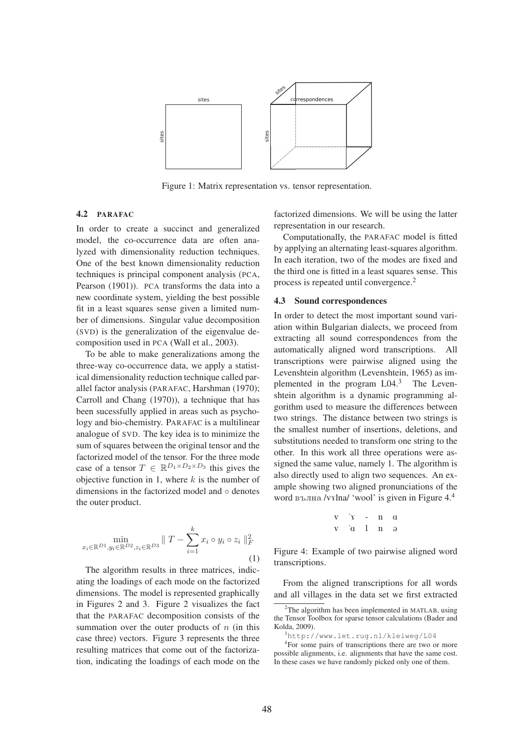

Figure 1: Matrix representation vs. tensor representation.

# 4.2 PARAFAC

In order to create a succinct and generalized model, the co-occurrence data are often analyzed with dimensionality reduction techniques. One of the best known dimensionality reduction techniques is principal component analysis (PCA, Pearson (1901)). PCA transforms the data into a new coordinate system, yielding the best possible fit in a least squares sense given a limited number of dimensions. Singular value decomposition (SVD) is the generalization of the eigenvalue decomposition used in PCA (Wall et al., 2003).

To be able to make generalizations among the three-way co-occurrence data, we apply a statistical dimensionality reduction technique called parallel factor analysis (PARAFAC, Harshman (1970); Carroll and Chang (1970)), a technique that has been sucessfully applied in areas such as psychology and bio-chemistry. PARAFAC is a multilinear analogue of SVD. The key idea is to minimize the sum of squares between the original tensor and the factorized model of the tensor. For the three mode case of a tensor  $T \in \mathbb{R}^{D_1 \times D_2 \times D_3}$  this gives the objective function in 1, where  $k$  is the number of dimensions in the factorized model and ◦ denotes the outer product.

$$
\min_{x_i \in \mathbb{R}^{D_1}, y_i \in \mathbb{R}^{D_2}, z_i \in \mathbb{R}^{D_3}} \| T - \sum_{i=1}^k x_i \circ y_i \circ z_i \|_F^2
$$
\n(1)

The algorithm results in three matrices, indicating the loadings of each mode on the factorized dimensions. The model is represented graphically in Figures 2 and 3. Figure 2 visualizes the fact that the PARAFAC decomposition consists of the summation over the outer products of  $n$  (in this case three) vectors. Figure 3 represents the three resulting matrices that come out of the factorization, indicating the loadings of each mode on the

factorized dimensions. We will be using the latter representation in our research.

Computationally, the PARAFAC model is fitted by applying an alternating least-squares algorithm. In each iteration, two of the modes are fixed and the third one is fitted in a least squares sense. This process is repeated until convergence.<sup>2</sup>

### 4.3 Sound correspondences

In order to detect the most important sound variation within Bulgarian dialects, we proceed from extracting all sound correspondences from the automatically aligned word transcriptions. All transcriptions were pairwise aligned using the Levenshtein algorithm (Levenshtein, 1965) as implemented in the program  $L04<sup>3</sup>$  The Levenshtein algorithm is a dynamic programming algorithm used to measure the differences between two strings. The distance between two strings is the smallest number of insertions, deletions, and substitutions needed to transform one string to the other. In this work all three operations were assigned the same value, namely 1. The algorithm is also directly used to align two sequences. An example showing two aligned pronunciations of the word вълна /v $x$ lna/ 'wool' is given in Figure 4.<sup>4</sup>

$$
\begin{array}{cccc}\n\mathbf{v} & \mathbf{v} & -\mathbf{v} & -\mathbf{n} & \mathbf{a} \\
\mathbf{v} & \mathbf{a} & 1 & \mathbf{n} & \mathbf{a}\n\end{array}
$$

Figure 4: Example of two pairwise aligned word transcriptions.

From the aligned transcriptions for all words and all villages in the data set we first extracted

 $2$ The algorithm has been implemented in MATLAB, using the Tensor Toolbox for sparse tensor calculations (Bader and Kolda, 2009).

<sup>3</sup>http://www.let.rug.nl/kleiweg/L04

<sup>4</sup> For some pairs of transcriptions there are two or more possible alignments, i.e. alignments that have the same cost. In these cases we have randomly picked only one of them.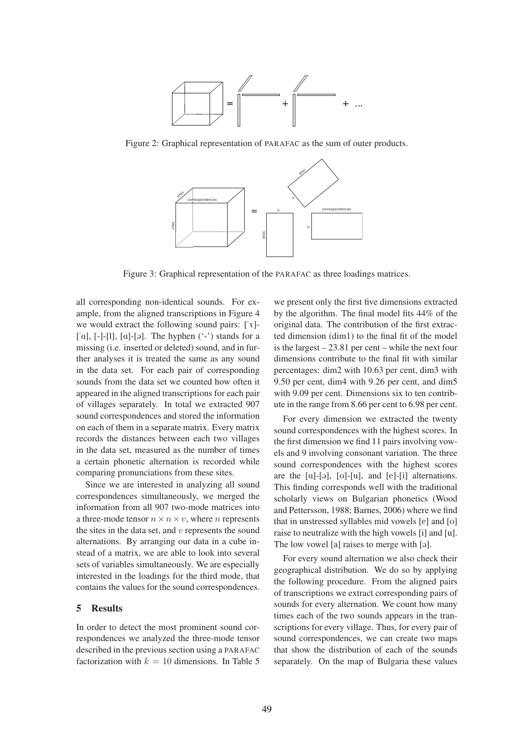

Figure 2: Graphical representation of PARAFAC as the sum of outer products.



Figure 3: Graphical representation of the PARAFAC as three loadings matrices.

all corresponding non-identical sounds. For example, from the aligned transcriptions in Figure 4 we would extract the following sound pairs: ["7]- ['a],  $[-]$ -[l],  $[a]$ -[ə]. The hyphen  $(\cdot$ -') stands for a missing (i.e. inserted or deleted) sound, and in further analyses it is treated the same as any sound in the data set. For each pair of corresponding sounds from the data set we counted how often it appeared in the aligned transcriptions for each pair of villages separately. In total we extracted 907 sound correspondences and stored the information on each of them in a separate matrix. Every matrix records the distances between each two villages in the data set, measured as the number of times a certain phonetic alternation is recorded while comparing pronunciations from these sites.

Since we are interested in analyzing all sound correspondences simultaneously, we merged the information from all 907 two-mode matrices into a three-mode tensor  $n \times n \times v$ , where *n* represents the sites in the data set, and  $v$  represents the sound alternations. By arranging our data in a cube instead of a matrix, we are able to look into several sets of variables simultaneously. We are especially interested in the loadings for the third mode, that contains the values for the sound correspondences.

# 5 Results

In order to detect the most prominent sound correspondences we analyzed the three-mode tensor described in the previous section using a PARAFAC factorization with  $k = 10$  dimensions. In Table 5

we present only the first five dimensions extracted by the algorithm. The final model fits 44% of the original data. The contribution of the first extracted dimension (dim1) to the final fit of the model is the largest – 23.81 per cent – while the next four dimensions contribute to the final fit with similar percentages: dim2 with 10.63 per cent, dim3 with 9.50 per cent, dim4 with 9.26 per cent, and dim5 with 9.09 per cent. Dimensions six to ten contribute in the range from 8.66 per cent to 6.98 per cent.

For every dimension we extracted the twenty sound correspondences with the highest scores. In the first dimension we find 11 pairs involving vowels and 9 involving consonant variation. The three sound correspondences with the highest scores are the  $[a]-[a]$ ,  $[o]-[u]$ , and  $[e]-[i]$  alternations. This finding corresponds well with the traditional scholarly views on Bulgarian phonetics (Wood and Pettersson, 1988; Barnes, 2006) where we find that in unstressed syllables mid vowels [e] and [o] raise to neutralize with the high vowels [i] and [u]. The low vowel [a] raises to merge with [ə].

For every sound alternation we also check their geographical distribution. We do so by applying the following procedure. From the aligned pairs of transcriptions we extract corresponding pairs of sounds for every alternation. We count how many times each of the two sounds appears in the transcriptions for every village. Thus, for every pair of sound correspondences, we can create two maps that show the distribution of each of the sounds separately. On the map of Bulgaria these values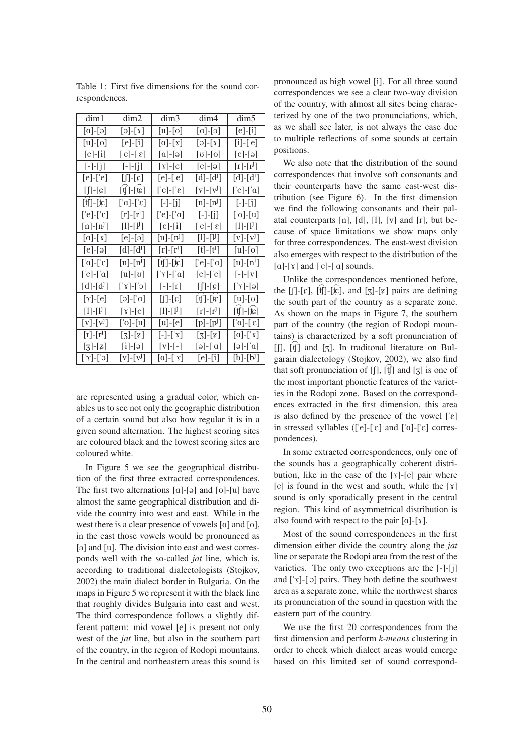| dim1                                                         | dim2                                                  | dim3                                        | dim4                                                  | dim <sub>5</sub>                                            |
|--------------------------------------------------------------|-------------------------------------------------------|---------------------------------------------|-------------------------------------------------------|-------------------------------------------------------------|
| $[a]-[o]$                                                    | $[\partial]-[\gamma]$                                 | $[u]-[o]$                                   | $[a]-[a]$                                             | $[e]-[i]$                                                   |
| $[u]-[o]$                                                    | $[e]-[i]$                                             | $[a]-[x]$                                   | $[\partial]-[\gamma]$                                 | $[i]-['e]$                                                  |
| $[e]-[i]$                                                    | $[\mathcal{E}]-[\mathcal{E}]$                         | $[a]-[a]$                                   | $[\mathfrak{v}]\text{-}\mathfrak{[o]}$                | [e]-[ə]                                                     |
| $[-]-[j]$                                                    | $[-]-[j]$                                             | $[\gamma]$ -[e]                             | $[e]-[3]$                                             | $[r]-[r^{\mathrm{J}}]$                                      |
| $[e]-[e]$                                                    | $[]$ - $[c]$                                          | $[e]-[e]$                                   | $[d]-[d^{\mathrm{J}}]$                                | $[d]-[d^j]$                                                 |
| [ʃ]-[ɕ]                                                      | [ʧ]-[如]                                               | [ˈe]-[ˈε]                                   | $[v]-[v^{\mathrm{J}}]$                                | [ˈe]-[ˈɑ]                                                   |
| [tʃ]-[t͡c]                                                   | $[\alpha]$ - $[\epsilon]$                             | $[-]-[[j]]$                                 | $[n]-[n^j]$                                           | $[-]-[[]$                                                   |
| $[\mathcal{C}]-[\mathcal{C}]$                                | $[r]-[r^j]$                                           | $[$ 'e]- $[$ 'a]                            | $[-]-[j]$                                             | $[$ 'o]- $[u]$                                              |
| $[n]-[n^{\mathrm{J}}]$                                       | $[1]$ - $[1]$                                         | $[e]-[i]$                                   | $[\mathcal{E}]-[\mathcal{E}]$                         | $[1]$ - $[1]$                                               |
| $[a]-[\gamma]$                                               | $[e]-[3]$                                             | $[n]-[n^j]$                                 | $[1]$ - $[1]$                                         | $[v]-[v^j]$                                                 |
| [e]-[ə]                                                      | $[d]$ - $[d^{\text{U}}]$                              | $[r]-[r^j]$                                 | $[t]-[t^{\mathsf{J}}]$                                | $[u]-[o]$                                                   |
| $[\alpha]$ - $[\alpha]$                                      | $[n]-[n^j]$                                           | $[\mathfrak{t}]-[\mathfrak{k}\mathfrak{c}]$ | $[$ 'e]- $[$ ' $a]$                                   | $[n]-[n^j]$                                                 |
| $[\text{e}]\text{-}\text{a}]$                                | $[u]-[v]$                                             | [ˈγ]-[ˈɑ]                                   | [e]-['e]                                              | $\left[ -\right] - \left[ \mathrm{v} \right]$               |
| $[d]-[d^{\mathrm{J}}]$                                       | $[c']$ - $[r']$                                       | $[-]-[r]$                                   | $[]$ -[c]                                             | $[\hat{\mathbf{v}}]$ - $[\hat{\mathbf{v}}]$                 |
| $[\gamma]$ -[e]                                              | [ə]-[ˈɑ]                                              | $[]$ -[c]                                   | $[\![\mathfrak{t}]\!]$ - $[\![\mathfrak{t}\!]$        | [u]-[ʊ]                                                     |
| $[1]$ - $[1^j]$                                              | $[\gamma]$ -[e]                                       | $[1]$ - $[1]$                               | $[r]-[r^J]$                                           | $[\![\mathfrak{t}]\!]$ - $[\![\mathfrak{t}\!]$              |
| $[v]-[v^j]$                                                  | $[\text{'}o]-[\text{u}]$                              | $[u]$ - $[e]$                               | $[p]-[p^j]$                                           | [ˈɑ]-[ˈɛ]                                                   |
| $[r]-[r^{\mathrm{J}}]$                                       | $\left[\mathbf{3}\right]$ - $\left[\mathbf{z}\right]$ | $[-]-[x]$                                   | $\left[\mathbf{3}\right]$ - $\left[\mathbf{z}\right]$ | $\lbrack \alpha \rbrack$ - $\lbrack \lbrack \gamma \rbrack$ |
| $\left[\mathfrak{Z}\right]\text{-}\left[\mathfrak{Z}\right]$ | $[i]-[3]$                                             | $[v]-[-]$                                   | $[\alpha]$ -[ˈa]                                      | $[\partial]$ - $[\alpha]$                                   |
| $[c']$ - $[\gamma']$                                         | $[v]-[v^j]$                                           | $\lbrack a \rbrack$ - $\lbrack \rbrack$     | $[e]-[i]$                                             | $[b]-[b^{\dagger}]$                                         |

Table 1: First five dimensions for the sound correspondences.

are represented using a gradual color, which enables us to see not only the geographic distribution of a certain sound but also how regular it is in a given sound alternation. The highest scoring sites are coloured black and the lowest scoring sites are coloured white.

In Figure 5 we see the geographical distribution of the first three extracted correspondences. The first two alternations  $[a]-[a]$  and  $[o]-[u]$  have almost the same geographical distribution and divide the country into west and east. While in the west there is a clear presence of vowels  $[a]$  and  $[o]$ , in the east those vowels would be pronounced as [ə] and [u]. The division into east and west corresponds well with the so-called *jat* line, which is, according to traditional dialectologists (Stojkov, 2002) the main dialect border in Bulgaria. On the maps in Figure 5 we represent it with the black line that roughly divides Bulgaria into east and west. The third correspondence follows a slightly different pattern: mid vowel [e] is present not only west of the *jat* line, but also in the southern part of the country, in the region of Rodopi mountains. In the central and northeastern areas this sound is

pronounced as high vowel [i]. For all three sound correspondences we see a clear two-way division of the country, with almost all sites being characterized by one of the two pronunciations, which, as we shall see later, is not always the case due to multiple reflections of some sounds at certain positions.

We also note that the distribution of the sound correspondences that involve soft consonants and their counterparts have the same east-west distribution (see Figure 6). In the first dimension we find the following consonants and their palatal counterparts  $[n]$ ,  $[d]$ ,  $[l]$ ,  $[v]$  and  $[r]$ , but because of space limitations we show maps only for three correspondences. The east-west division also emerges with respect to the distribution of the  $[a]$ -[ $\gamma$ ] and [ $'e$ ]-[ $a$ ] sounds.

Unlike the correspondences mentioned before, the [f]-[c],  $[\hat{f}]$ -[ $\hat{k}$ ], and [ $\hat{z}$ ]-[ $\hat{z}$ ] pairs are defining the south part of the country as a separate zone. As shown on the maps in Figure 7, the southern part of the country (the region of Rodopi mountains) is characterized by a soft pronunciation of  $[f]$ ,  $[f]$  and  $[g]$ . In traditional literature on Bulgarain dialectology (Stojkov, 2002), we also find that soft pronunciation of  $[\int]$ ,  $[\hat{f}]$  and  $[\bar{z}]$  is one of the most important phonetic features of the varieties in the Rodopi zone. Based on the correspondences extracted in the first dimension, this area is also defined by the presence of the vowel  $[\epsilon]$ in stressed syllables ( $[\text{e}]-[\text{e}]$  and  $[\text{a}]-[\text{e}]$  correspondences).

In some extracted correspondences, only one of the sounds has a geographically coherent distribution, like in the case of the [7]-[e] pair where  $[e]$  is found in the west and south, while the  $[x]$ sound is only sporadically present in the central region. This kind of asymmetrical distribution is also found with respect to the pair  $[a]$ -[ $\gamma$ ].

Most of the sound correspondences in the first dimension either divide the country along the *jat* line or separate the Rodopi area from the rest of the varieties. The only two exceptions are the [-]-[j] and ["7]-["O] pairs. They both define the southwest area as a separate zone, while the northwest shares its pronunciation of the sound in question with the eastern part of the country.

We use the first 20 correspondences from the first dimension and perform *k-means* clustering in order to check which dialect areas would emerge based on this limited set of sound correspond-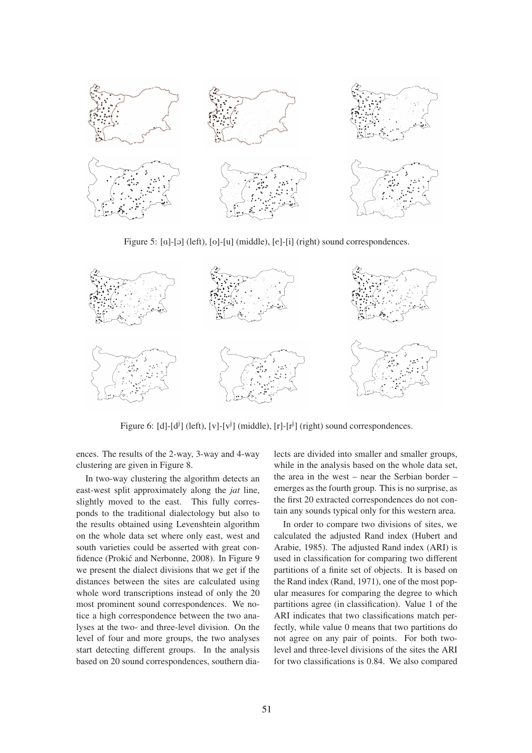

Figure 5: [a]-[ə] (left), [o]-[u] (middle), [e]-[i] (right) sound correspondences.



Figure 6: [d]-[d<sup>j</sup>] (left), [v]-[v<sup>j</sup>] (middle), [r]-[r<sup>j</sup>] (right) sound correspondences.

ences. The results of the 2-way, 3-way and 4-way clustering are given in Figure 8.

In two-way clustering the algorithm detects an east-west split approximately along the *jat* line, slightly moved to the east. This fully corresponds to the traditional dialectology but also to the results obtained using Levenshtein algorithm on the whole data set where only east, west and south varieties could be asserted with great confidence (Prokić and Nerbonne, 2008). In Figure 9 we present the dialect divisions that we get if the distances between the sites are calculated using whole word transcriptions instead of only the 20 most prominent sound correspondences. We notice a high correspondence between the two analyses at the two- and three-level division. On the level of four and more groups, the two analyses start detecting different groups. In the analysis based on 20 sound correspondences, southern dialects are divided into smaller and smaller groups, while in the analysis based on the whole data set, the area in the west – near the Serbian border – emerges as the fourth group. This is no surprise, as the first 20 extracted correspondences do not contain any sounds typical only for this western area.

In order to compare two divisions of sites, we calculated the adjusted Rand index (Hubert and Arabie, 1985). The adjusted Rand index (ARI) is used in classification for comparing two different partitions of a finite set of objects. It is based on the Rand index (Rand, 1971), one of the most popular measures for comparing the degree to which partitions agree (in classification). Value 1 of the ARI indicates that two classifications match perfectly, while value 0 means that two partitions do not agree on any pair of points. For both twolevel and three-level divisions of the sites the ARI for two classifications is 0.84. We also compared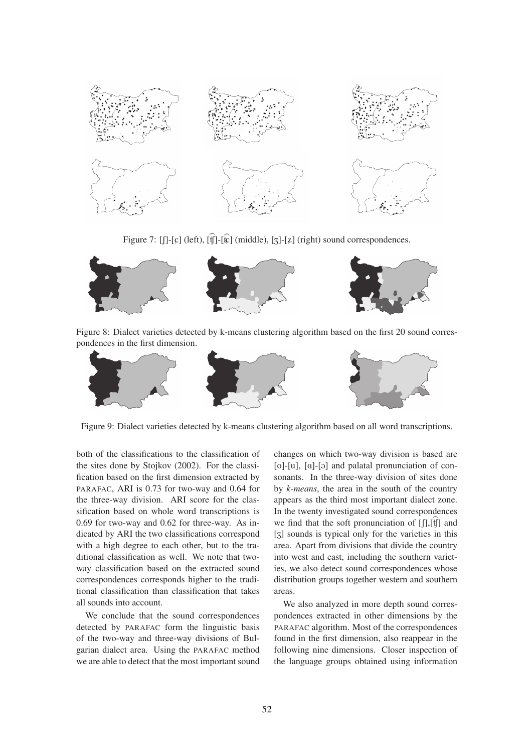

Figure 7: [f]-[ $\epsilon$ ] (left), [t͡f]-[ $\hat{\epsilon}$ ] (middle), [3]-[ $\bar{z}$ ] (right) sound correspondences.



Figure 8: Dialect varieties detected by k-means clustering algorithm based on the first 20 sound correspondences in the first dimension.



Figure 9: Dialect varieties detected by k-means clustering algorithm based on all word transcriptions.

both of the classifications to the classification of the sites done by Stojkov (2002). For the classification based on the first dimension extracted by PARAFAC, ARI is 0.73 for two-way and 0.64 for the three-way division. ARI score for the classification based on whole word transcriptions is 0.69 for two-way and 0.62 for three-way. As indicated by ARI the two classifications correspond with a high degree to each other, but to the traditional classification as well. We note that twoway classification based on the extracted sound correspondences corresponds higher to the traditional classification than classification that takes all sounds into account.

We conclude that the sound correspondences detected by PARAFAC form the linguistic basis of the two-way and three-way divisions of Bulgarian dialect area. Using the PARAFAC method we are able to detect that the most important sound changes on which two-way division is based are  $[o]-[u]$ ,  $[a]-[a]$  and palatal pronunciation of consonants. In the three-way division of sites done by *k-means*, the area in the south of the country appears as the third most important dialect zone. In the twenty investigated sound correspondences we find that the soft pronunciation of  $[[\cdot]]$ ,  $[\hat{y}]$  and [z] sounds is typical only for the varieties in this area. Apart from divisions that divide the country into west and east, including the southern varieties, we also detect sound correspondences whose distribution groups together western and southern areas.

We also analyzed in more depth sound correspondences extracted in other dimensions by the PARAFAC algorithm. Most of the correspondences found in the first dimension, also reappear in the following nine dimensions. Closer inspection of the language groups obtained using information